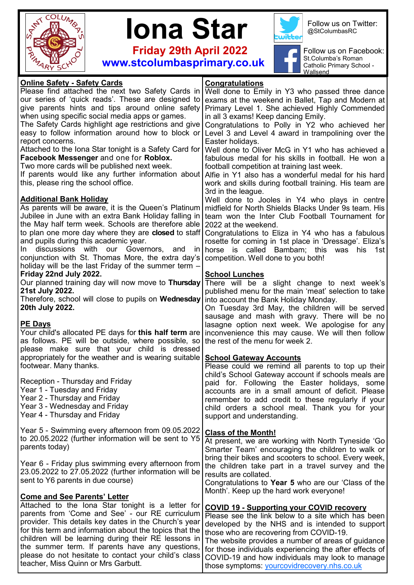



 **Friday 29th April 2022 www.stcolumbasprimary.co.uk**



Follow us on Twitter: @StColumbasRC



Follow us on Facebook: St.Columba's Roman Catholic Primary School - Wallsend

| <b>Online Safety - Safety Cards</b>                        | Congratulations                                                                                           |
|------------------------------------------------------------|-----------------------------------------------------------------------------------------------------------|
| Please find attached the next two Safety Cards in          | Well done to Emily in Y3 who passed three dance                                                           |
| our series of 'quick reads'. These are designed to         | exams at the weekend in Ballet, Tap and Modern at                                                         |
| give parents hints and tips around online safety           | Primary Level 1. She achieved Highly Commended                                                            |
| when using specific social media apps or games.            | in all 3 exams! Keep dancing Emily.                                                                       |
| The Safety Cards highlight age restrictions and give       | Congratulations to Polly in Y2 who achieved her                                                           |
| easy to follow information around how to block or          | Level 3 and Level 4 award in trampolining over the                                                        |
| report concerns.                                           | Easter holidays.                                                                                          |
| Attached to the Iona Star tonight is a Safety Card for     | Well done to Oliver McG in Y1 who has achieved a                                                          |
| Facebook Messenger and one for Roblox.                     | fabulous medal for his skills in football. He won a                                                       |
| Two more cards will be published next week.                | football competition at training last week.                                                               |
| If parents would like any further information about        | Alfie in Y1 also has a wonderful medal for his hard                                                       |
| this, please ring the school office.                       |                                                                                                           |
|                                                            | work and skills during football training. His team are                                                    |
|                                                            | 3rd in the league.                                                                                        |
| <b>Additional Bank Holiday</b>                             | Well done to Jooles in Y4 who plays in centre                                                             |
| As parents will be aware, it is the Queen's Platinum       | midfield for North Shields Blacks Under 9s team. His                                                      |
| Jubilee in June with an extra Bank Holiday falling in      | team won the Inter Club Football Tournament for                                                           |
| the May half term week. Schools are therefore able         | 2022 at the weekend.                                                                                      |
| to plan one more day where they are <b>closed</b> to staff | Congratulations to Eliza in Y4 who has a fabulous                                                         |
| and pupils during this academic year.                      | rosette for coming in 1st place in 'Dressage'. Eliza's                                                    |
| discussions with our Governors, and<br>In In<br>- In I     | horse is called Bambam; this<br>was his<br>1st                                                            |
| conjunction with St. Thomas More, the extra day's          | competition. Well done to you both!                                                                       |
| holiday will be the last Friday of the summer term -       |                                                                                                           |
| Friday 22nd July 2022.                                     | <b>School Lunches</b>                                                                                     |
| Our planned training day will now move to Thursday         | There will be a slight change to next week's                                                              |
| 21st July 2022.                                            | published menu for the main 'meat' selection to take                                                      |
| Therefore, school will close to pupils on Wednesday        | into account the Bank Holiday Monday.                                                                     |
| 20th July 2022.                                            | On Tuesday 3rd May, the children will be served                                                           |
|                                                            | sausage and mash with gravy. There will be no                                                             |
| <b>PE Days</b>                                             | lasagne option next week. We apologise for any                                                            |
|                                                            | Your child's allocated PE days for this half term are   inconvenience this may cause. We will then follow |
| as follows. PE will be outside, where possible, so         | the rest of the menu for week 2.                                                                          |
| please make sure that your child is dressed                |                                                                                                           |
| appropriately for the weather and is wearing suitable      | <b>School Gateway Accounts</b>                                                                            |
| footwear. Many thanks.                                     | Please could we remind all parents to top up their                                                        |
|                                                            | child's School Gateway account if schools meals are                                                       |
| Reception - Thursday and Friday                            | paid for. Following the Easter holidays, some                                                             |
| Year 1 - Tuesday and Friday                                | accounts are in a small amount of deficit. Please                                                         |
| Year 2 - Thursday and Friday                               | remember to add credit to these regularly if your                                                         |
| Year 3 - Wednesday and Friday                              | child orders a school meal. Thank you for your                                                            |
| Year 4 - Thursday and Friday                               |                                                                                                           |
|                                                            | support and understanding.                                                                                |
| Year 5 - Swimming every afternoon from 09.05.2022          |                                                                                                           |
| to 20.05.2022 (further information will be sent to Y5      | <b>Class of the Month!</b>                                                                                |
| parents today)                                             | At present, we are working with North Tyneside 'Go                                                        |
|                                                            | Smarter Team' encouraging the children to walk or                                                         |
|                                                            | bring their bikes and scooters to school. Every week,                                                     |
| Year 6 - Friday plus swimming every afternoon from         | the children take part in a travel survey and the                                                         |
| 23.05.2022 to 27.05.2022 (further information will be      | results are collated.                                                                                     |
| sent to Y6 parents in due course)                          | Congratulations to Year 5 who are our 'Class of the                                                       |
|                                                            | Month'. Keep up the hard work everyone!                                                                   |
| <b>Come and See Parents' Letter</b>                        |                                                                                                           |
| Attached to the Iona Star tonight is a letter for          | <b>COVID 19 - Supporting your COVID recovery</b>                                                          |
| parents from 'Come and See' - our RE curriculum            | Please see the link below to a site which has been                                                        |
| provider. This details key dates in the Church's year      | developed by the NHS and is intended to support                                                           |
| for this term and information about the topics that the    | those who are recovering from COVID-19.                                                                   |
| children will be learning during their RE lessons in       | The website provides a number of areas of guidance                                                        |
| the summer term. If parents have any questions,            | for those individuals experiencing the after effects of                                                   |
| please do not hesitate to contact your child's class       | COVID-19 and how individuals may look to manage                                                           |
| teacher, Miss Quinn or Mrs Garbutt.                        | those symptoms: yourcovidrecovery.nhs.co.uk                                                               |